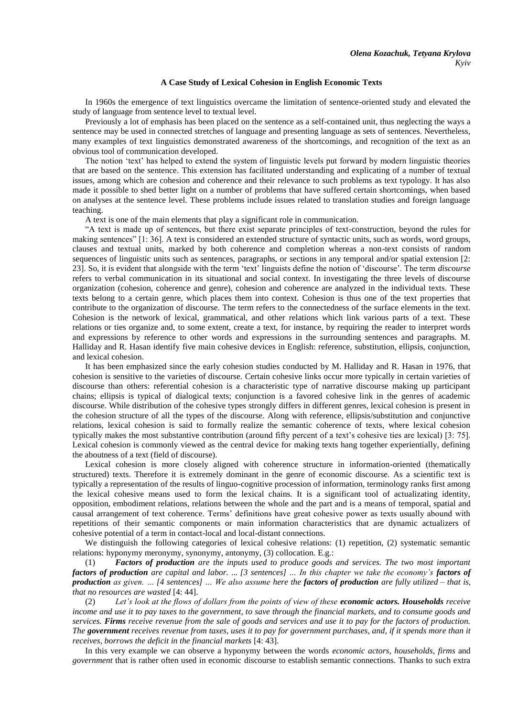## **A Case Study of Lexical Cohesion in English Economic Texts**

In 1960s the emergence of text linguistics overcame the limitation of sentence-oriented study and elevated the study of language from sentence level to textual level.

Previously a lot of emphasis has been placed on the sentence as a self-contained unit, thus neglecting the ways a sentence may be used in connected stretches of language and presenting language as sets of sentences. Nevertheless, many examples of text linguistiсs demonstrated awareness of the shortcomings, and recognition of the text as an obvious tool of communication developed.

The notion "text" has helped to extend the system of linguistic levels put forward by modern linguistic theories that are based on the sentence. This extension has facilitated understanding and explicating of a number of textual issues, among which are cohesion and coherence and their relevance to such problems as text typology. It has also made it possible to shed better light on a number of problems that have suffered certain shortcomings, when based on analyses at the sentence level. These problems include issues related to translation studies and foreign language teaching.

A text is one of the main elements that play a significant role in communication.

"A text is made up of sentences, but there exist separate principles of text-construction, beyond the rules for making sentences" [1: 36]. A text is considered an extended structure of syntactic units, such as words, word groups, clauses and textual units, marked by both coherence and completion whereas a non-text consists of random sequences of linguistic units such as sentences, paragraphs, or sections in any temporal and/or spatial extension [2: 23]. So, it is evident that alongside with the term "text" linguists define the notion of "discourse". The term *discourse*  refers to verbal communication in its situational and social context. In investigating the three levels of discourse organization (cohesion, coherence and genre), cohesion and coherence are analyzed in the individual texts. These texts belong to a certain genre, which places them into context. Cohesion is thus one of the text properties that contribute to the organization of discourse. The term refers to the connectedness of the surface elements in the text. Cohesion is the network of lexical, grammatical, and other relations which link various parts of a text. These relations or ties organize and, to some extent, create a text, for instance, by requiring the reader to interpret words and expressions by reference to other words and expressions in the surrounding sentences and paragraphs. M. Halliday and R. Hasan identify five main cohesive devices in English: reference, substitution, ellipsis, conjunction, and lexical cohesion.

It has been emphasized since the early cohesion studies conducted by M. Halliday and R. Hasan in 1976, that cohesion is sensitive to the varieties of discourse. Certain cohesive links occur more typically in certain varieties of discourse than others: referential cohesion is a characteristic type of narrative discourse making up participant chains; ellipsis is typical of dialogical texts; conjunction is a favored cohesive link in the genres of academic discourse. While distribution of the cohesive types strongly differs in different genres, lexical cohesion is present in the cohesion structure of all the types of the discourse. Along with reference, ellipsis/substitution and conjunctive relations, lexical cohesion is said to formally realize the semantic coherence of texts, where lexical cohesion typically makes the most substantive contribution (around fifty percent of a text"s cohesive ties are lexical) [3: 75]. Lexical cohesion is commonly viewed as the central device for making texts hang together experientially, defining the aboutness of a text (field of discourse).

Lexical cohesion is more closely aligned with coherence structure in information-oriented (thematically structured) texts. Therefore it is extremely dominant in the genre of economic discourse. As a scientific text is typically a representation of the results of linguo-cognitive procession of information, terminology ranks first among the lexical cohesive means used to form the lexical chains. It is a significant tool of actualizating identity, opposition, embodiment relations, relations between the whole and the part and is a means of temporal, spatial and causal arrangement of text coherence. Terms" definitions have great cohesive power as texts usually abound with repetitions of their semantic components or main information characteristics that are dynamic actualizers of cohesive potential of a term in contact-local and local-distant connections.

We distinguish the following categories of lexical cohesive relations: (1) repetition, (2) systematic semantic relations: hyponymy meronymy, synonymy, antonymy, (3) collocation. E.g.:

(1) *Factors of production are the inputs used to produce goods and services. The two most important factors of production are capital and labor. ... [3 sentences] … In this chapter we take the economy's factors of production as given. … [4 sentences] … We also assume here the factors of production are fully utilized – that is, that no resources are wasted* [4: 44].

(2) *Let's look at the flows of dollars from the points of view of these economic actors. Households receive income and use it to pay taxes to the government, to save through the financial markets, and to consume goods and services. Firms receive revenue from the sale of goods and services and use it to pay for the factors of production. The government receives revenue from taxes, uses it to pay for government purchases, and, if it spends more than it receives, borrows the deficit in the financial markets* [4: 43].

In this very example we can observe a hyponymy between the words *economic actors*, *households*, *firms* and *government* that is rather often used in economic discourse to establish semantic connections. Thanks to such extra